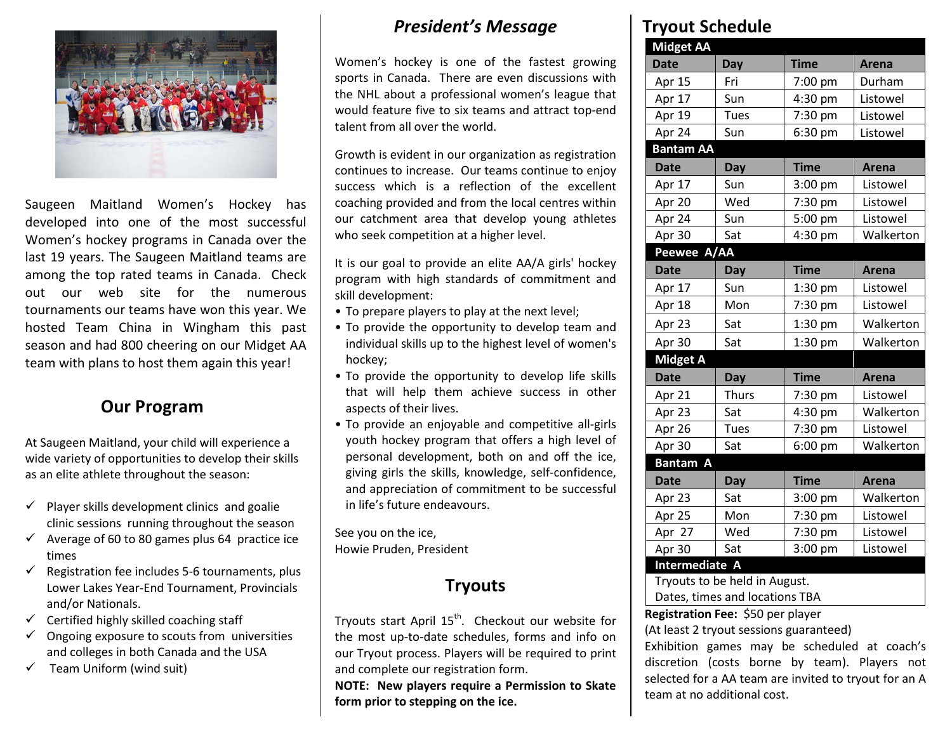

Saugeen Maitland Women's Hockey has developed into one of the most successful Women's hockey programs in Canada over the last 19 years. The Saugeen Maitland teams are among the top rated teams in Canada. Check out our web site for the numerous tournaments our teams have won this year. We hosted Team China in Wingham this past season and had 800 cheering on our Midget AA team with plans to host them again this year!

#### **Our Program**

At Saugeen Maitland, your child will experience a wide variety of opportunities to develop their skills as an elite athlete throughout the season:

- $\checkmark$  Player skills development clinics and goalie clinic sessions running throughout the season
- $\checkmark$  Average of 60 to 80 games plus 64 practice ice times
- Registration fee includes 5-6 tournaments, plus Lower Lakes Year-End Tournament, Provincials and/or Nationals.
- Certified highly skilled coaching staff
- $\checkmark$  Ongoing exposure to scouts from universities and colleges in both Canada and the USA
- Team Uniform (wind suit)

#### *President's Message*

Women's hockey is one of the fastest growing sports in Canada. There are even discussions with the NHL about a professional women's league that would feature five to six teams and attract top-end talent from all over the world.

Growth is evident in our organization as registration continues to increase. Our teams continue to enjoy success which is a reflection of the excellent coaching provided and from the local centres within our catchment area that develop young athletes who seek competition at a higher level.

It is our goal to provide an elite AA/A girls' hockey program with high standards of commitment and skill development:

- To prepare players to play at the next level;
- To provide the opportunity to develop team and individual skills up to the highest level of women's hockey;
- To provide the opportunity to develop life skills that will help them achieve success in other aspects of their lives.
- To provide an enjoyable and competitive all-girls youth hockey program that offers a high level of personal development, both on and off the ice, giving girls the skills, knowledge, self-confidence, and appreciation of commitment to be successful in life's future endeavours.

See you on the ice, Howie Pruden, President

#### **Tryouts**

Trvouts start April 15<sup>th</sup>. Checkout our website for the most up-to-date schedules, forms and info on our Tryout process. Players will be required to print and complete our registration form.

**NOTE: New players require a Permission to Skate form prior to stepping on the ice.**

#### **Tryout Schedule**

| I YUUL JLII                                  |              |                       |           |  |  |  |  |
|----------------------------------------------|--------------|-----------------------|-----------|--|--|--|--|
| <b>Midget AA</b>                             |              |                       |           |  |  |  |  |
| <b>Date</b>                                  | Day          | <b>Time</b>           | Arena     |  |  |  |  |
| Apr 15                                       | Fri          | 7:00 pm               | Durham    |  |  |  |  |
| Apr 17                                       | Sun          | 4:30 pm               | Listowel  |  |  |  |  |
| Apr 19                                       | Tues         | 7:30 pm               | Listowel  |  |  |  |  |
| Apr 24                                       | Sun          | $6:30$ pm<br>Listowel |           |  |  |  |  |
| <b>Bantam AA</b>                             |              |                       |           |  |  |  |  |
| <b>Date</b>                                  | Day          | <b>Time</b>           | Arena     |  |  |  |  |
| Apr 17                                       | Sun          | 3:00 pm               | Listowel  |  |  |  |  |
| Apr 20                                       | Wed          | 7:30 pm               | Listowel  |  |  |  |  |
| Apr 24                                       | Sun          | 5:00 pm               | Listowel  |  |  |  |  |
| Apr 30                                       | Sat          | 4:30 pm               | Walkerton |  |  |  |  |
| Peewee A/AA                                  |              |                       |           |  |  |  |  |
| <b>Date</b>                                  | Day          | <b>Time</b>           | Arena     |  |  |  |  |
| Apr 17                                       | Sun          | 1:30 pm               | Listowel  |  |  |  |  |
| Apr 18                                       | Mon          | 7:30 pm               | Listowel  |  |  |  |  |
| Apr 23                                       | Sat          | 1:30 pm               | Walkerton |  |  |  |  |
| Apr 30                                       | Sat          | $1:30$ pm             | Walkerton |  |  |  |  |
| <b>Midget A</b>                              |              |                       |           |  |  |  |  |
| <b>Date</b>                                  | Day          | <b>Time</b>           | Arena     |  |  |  |  |
| Apr 21                                       | <b>Thurs</b> | 7:30 pm               | Listowel  |  |  |  |  |
| Apr 23                                       | Sat          | 4:30 pm               | Walkerton |  |  |  |  |
| Apr $26$                                     | Tues         | 7:30 pm               | Listowel  |  |  |  |  |
| Apr $30$                                     | Sat          | 6:00 pm               | Walkerton |  |  |  |  |
| <b>Bantam A</b>                              |              |                       |           |  |  |  |  |
| <b>Date</b>                                  | Day          | <b>Time</b>           | Arena     |  |  |  |  |
| Apr 23                                       | Sat          | 3:00 pm               | Walkerton |  |  |  |  |
| Apr 25                                       | Mon          | 7:30 pm               | Listowel  |  |  |  |  |
| Apr 27                                       | Wed          | 7:30 pm               | Listowel  |  |  |  |  |
| Apr 30                                       | Sat          | 3:00 pm               | Listowel  |  |  |  |  |
| Intermediate A                               |              |                       |           |  |  |  |  |
| Tryouts to be held in August.                |              |                       |           |  |  |  |  |
| Dates, times and locations TBA               |              |                       |           |  |  |  |  |
| Registration Fee: \$50 per player            |              |                       |           |  |  |  |  |
| (At least 2 tryout sessions guaranteed)      |              |                       |           |  |  |  |  |
| Exhibition games may be scheduled at coach's |              |                       |           |  |  |  |  |

discretion (costs borne by team). Players not selected for a AA team are invited to tryout for an A team at no additional cost.